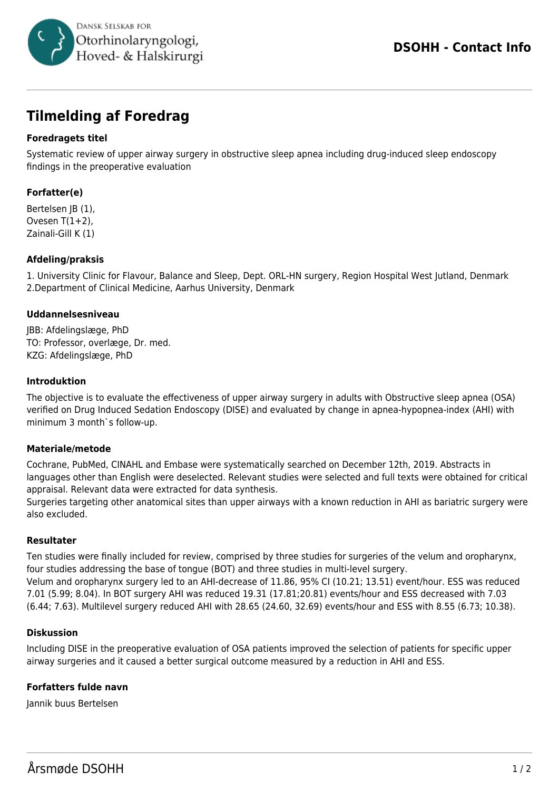

# **Tilmelding af Foredrag**

# **Foredragets titel**

Systematic review of upper airway surgery in obstructive sleep apnea including drug-induced sleep endoscopy findings in the preoperative evaluation

# **Forfatter(e)**

Bertelsen JB (1), Ovesen  $T(1+2)$ , Zainali-Gill K (1)

## **Afdeling/praksis**

1. University Clinic for Flavour, Balance and Sleep, Dept. ORL-HN surgery, Region Hospital West Jutland, Denmark 2.Department of Clinical Medicine, Aarhus University, Denmark

#### **Uddannelsesniveau**

JBB: Afdelingslæge, PhD TO: Professor, overlæge, Dr. med. KZG: Afdelingslæge, PhD

#### **Introduktion**

The objective is to evaluate the effectiveness of upper airway surgery in adults with Obstructive sleep apnea (OSA) verified on Drug Induced Sedation Endoscopy (DISE) and evaluated by change in apnea-hypopnea-index (AHI) with minimum 3 month`s follow-up.

## **Materiale/metode**

Cochrane, PubMed, CINAHL and Embase were systematically searched on December 12th, 2019. Abstracts in languages other than English were deselected. Relevant studies were selected and full texts were obtained for critical appraisal. Relevant data were extracted for data synthesis.

Surgeries targeting other anatomical sites than upper airways with a known reduction in AHI as bariatric surgery were also excluded.

## **Resultater**

Ten studies were finally included for review, comprised by three studies for surgeries of the velum and oropharynx, four studies addressing the base of tongue (BOT) and three studies in multi-level surgery. Velum and oropharynx surgery led to an AHI-decrease of 11.86, 95% CI (10.21; 13.51) event/hour. ESS was reduced 7.01 (5.99; 8.04). In BOT surgery AHI was reduced 19.31 (17.81;20.81) events/hour and ESS decreased with 7.03 (6.44; 7.63). Multilevel surgery reduced AHI with 28.65 (24.60, 32.69) events/hour and ESS with 8.55 (6.73; 10.38).

## **Diskussion**

Including DISE in the preoperative evaluation of OSA patients improved the selection of patients for specific upper airway surgeries and it caused a better surgical outcome measured by a reduction in AHI and ESS.

## **Forfatters fulde navn**

Jannik buus Bertelsen